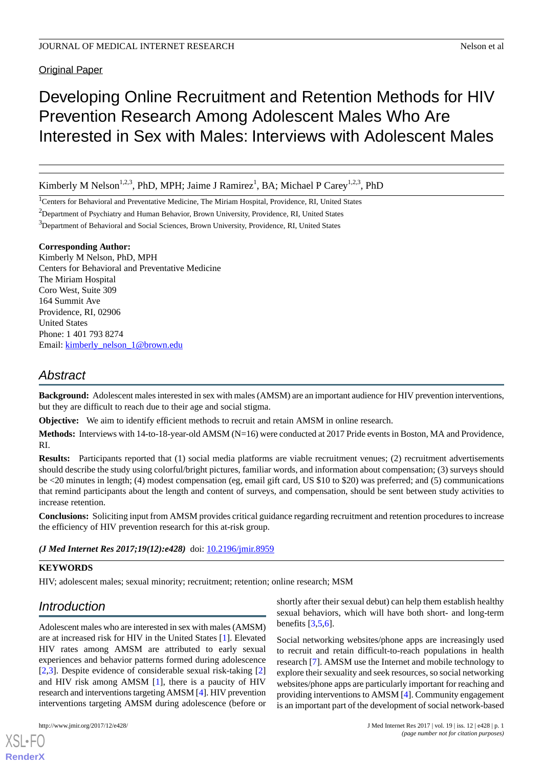**Original Paper** 

# Developing Online Recruitment and Retention Methods for HIV Prevention Research Among Adolescent Males Who Are Interested in Sex with Males: Interviews with Adolescent Males

Kimberly M Nelson<sup>1,2,3</sup>, PhD, MPH; Jaime J Ramirez<sup>1</sup>, BA; Michael P Carey<sup>1,2,3</sup>, PhD

<sup>1</sup>Centers for Behavioral and Preventative Medicine, The Miriam Hospital, Providence, RI, United States

<sup>2</sup>Department of Psychiatry and Human Behavior, Brown University, Providence, RI, United States

<sup>3</sup>Department of Behavioral and Social Sciences, Brown University, Providence, RI, United States

#### **Corresponding Author:**

Kimberly M Nelson, PhD, MPH Centers for Behavioral and Preventative Medicine The Miriam Hospital Coro West, Suite 309 164 Summit Ave Providence, RI, 02906 United States Phone: 1 401 793 8274 Email: [kimberly\\_nelson\\_1@brown.edu](mailto:kimberly_nelson_1@brown.edu)

# *Abstract*

**Background:** Adolescent males interested in sex with males (AMSM) are an important audience for HIV prevention interventions, but they are difficult to reach due to their age and social stigma.

**Objective:** We aim to identify efficient methods to recruit and retain AMSM in online research.

**Methods:** Interviews with 14-to-18-year-old AMSM (N=16) were conducted at 2017 Pride events in Boston, MA and Providence, RI.

**Results:** Participants reported that (1) social media platforms are viable recruitment venues; (2) recruitment advertisements should describe the study using colorful/bright pictures, familiar words, and information about compensation; (3) surveys should be <20 minutes in length; (4) modest compensation (eg, email gift card, US \$10 to \$20) was preferred; and (5) communications that remind participants about the length and content of surveys, and compensation, should be sent between study activities to increase retention.

**Conclusions:** Soliciting input from AMSM provides critical guidance regarding recruitment and retention procedures to increase the efficiency of HIV prevention research for this at-risk group.

*(J Med Internet Res 2017;19(12):e428)* doi:  $10.2196/$ jmir.8959

#### **KEYWORDS**

HIV; adolescent males; sexual minority; recruitment; retention; online research; MSM

# *Introduction*

Adolescent males who are interested in sex with males (AMSM) are at increased risk for HIV in the United States [[1\]](#page-4-0). Elevated HIV rates among AMSM are attributed to early sexual experiences and behavior patterns formed during adolescence [[2](#page-4-1)[,3](#page-4-2)]. Despite evidence of considerable sexual risk-taking [\[2](#page-4-1)] and HIV risk among AMSM [\[1\]](#page-4-0), there is a paucity of HIV research and interventions targeting AMSM [\[4\]](#page-4-3). HIV prevention interventions targeting AMSM during adolescence (before or

[XSL](http://www.w3.org/Style/XSL)•FO **[RenderX](http://www.renderx.com/)**

shortly after their sexual debut) can help them establish healthy sexual behaviors, which will have both short- and long-term benefits  $\left[3,5,6\right]$  $\left[3,5,6\right]$  $\left[3,5,6\right]$  $\left[3,5,6\right]$ .

Social networking websites/phone apps are increasingly used to recruit and retain difficult-to-reach populations in health research [\[7\]](#page-4-6). AMSM use the Internet and mobile technology to explore their sexuality and seek resources, so social networking websites/phone apps are particularly important for reaching and providing interventions to AMSM [[4\]](#page-4-3). Community engagement is an important part of the development of social network-based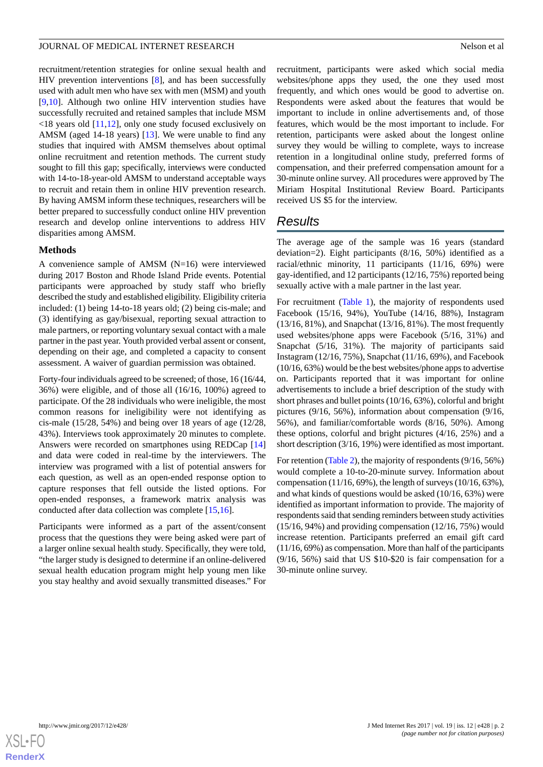#### JOURNAL OF MEDICAL INTERNET RESEARCH Nelson et al. Nelson et al.

recruitment/retention strategies for online sexual health and HIV prevention interventions [[8\]](#page-4-7), and has been successfully used with adult men who have sex with men (MSM) and youth [[9](#page-4-8)[,10](#page-4-9)]. Although two online HIV intervention studies have successfully recruited and retained samples that include MSM <18 years old [[11,](#page-4-10)[12](#page-4-11)], only one study focused exclusively on AMSM (aged 14-18 years) [\[13](#page-4-12)]. We were unable to find any studies that inquired with AMSM themselves about optimal online recruitment and retention methods. The current study sought to fill this gap; specifically, interviews were conducted with 14-to-18-year-old AMSM to understand acceptable ways to recruit and retain them in online HIV prevention research. By having AMSM inform these techniques, researchers will be better prepared to successfully conduct online HIV prevention research and develop online interventions to address HIV disparities among AMSM.

#### **Methods**

A convenience sample of AMSM (N=16) were interviewed during 2017 Boston and Rhode Island Pride events. Potential participants were approached by study staff who briefly described the study and established eligibility. Eligibility criteria included: (1) being 14-to-18 years old; (2) being cis-male; and (3) identifying as gay/bisexual, reporting sexual attraction to male partners, or reporting voluntary sexual contact with a male partner in the past year. Youth provided verbal assent or consent, depending on their age, and completed a capacity to consent assessment. A waiver of guardian permission was obtained.

Forty-four individuals agreed to be screened; of those, 16 (16/44, 36%) were eligible, and of those all (16/16, 100%) agreed to participate. Of the 28 individuals who were ineligible, the most common reasons for ineligibility were not identifying as cis-male (15/28, 54%) and being over 18 years of age (12/28, 43%). Interviews took approximately 20 minutes to complete. Answers were recorded on smartphones using REDCap [\[14](#page-4-13)] and data were coded in real-time by the interviewers. The interview was programed with a list of potential answers for each question, as well as an open-ended response option to capture responses that fell outside the listed options. For open-ended responses, a framework matrix analysis was conducted after data collection was complete [\[15](#page-4-14),[16\]](#page-4-15).

Participants were informed as a part of the assent/consent process that the questions they were being asked were part of a larger online sexual health study. Specifically, they were told, "the larger study is designed to determine if an online-delivered sexual health education program might help young men like you stay healthy and avoid sexually transmitted diseases." For

recruitment, participants were asked which social media websites/phone apps they used, the one they used most frequently, and which ones would be good to advertise on. Respondents were asked about the features that would be important to include in online advertisements and, of those features, which would be the most important to include. For retention, participants were asked about the longest online survey they would be willing to complete, ways to increase retention in a longitudinal online study, preferred forms of compensation, and their preferred compensation amount for a 30-minute online survey. All procedures were approved by The Miriam Hospital Institutional Review Board. Participants received US \$5 for the interview.

## *Results*

The average age of the sample was 16 years (standard deviation=2). Eight participants (8/16, 50%) identified as a racial/ethnic minority, 11 participants (11/16, 69%) were gay-identified, and 12 participants (12/16, 75%) reported being sexually active with a male partner in the last year.

For recruitment ([Table 1](#page-2-0)), the majority of respondents used Facebook (15/16, 94%), YouTube (14/16, 88%), Instagram (13/16, 81%), and Snapchat (13/16, 81%). The most frequently used websites/phone apps were Facebook (5/16, 31%) and Snapchat (5/16, 31%). The majority of participants said Instagram (12/16, 75%), Snapchat (11/16, 69%), and Facebook (10/16, 63%) would be the best websites/phone apps to advertise on. Participants reported that it was important for online advertisements to include a brief description of the study with short phrases and bullet points (10/16, 63%), colorful and bright pictures (9/16, 56%), information about compensation (9/16, 56%), and familiar/comfortable words (8/16, 50%). Among these options, colorful and bright pictures (4/16, 25%) and a short description (3/16, 19%) were identified as most important.

For retention ([Table 2\)](#page-3-0), the majority of respondents (9/16, 56%) would complete a 10-to-20-minute survey. Information about compensation (11/16, 69%), the length of surveys (10/16, 63%), and what kinds of questions would be asked (10/16, 63%) were identified as important information to provide. The majority of respondents said that sending reminders between study activities (15/16, 94%) and providing compensation (12/16, 75%) would increase retention. Participants preferred an email gift card (11/16, 69%) as compensation. More than half of the participants (9/16, 56%) said that US \$10-\$20 is fair compensation for a 30-minute online survey.

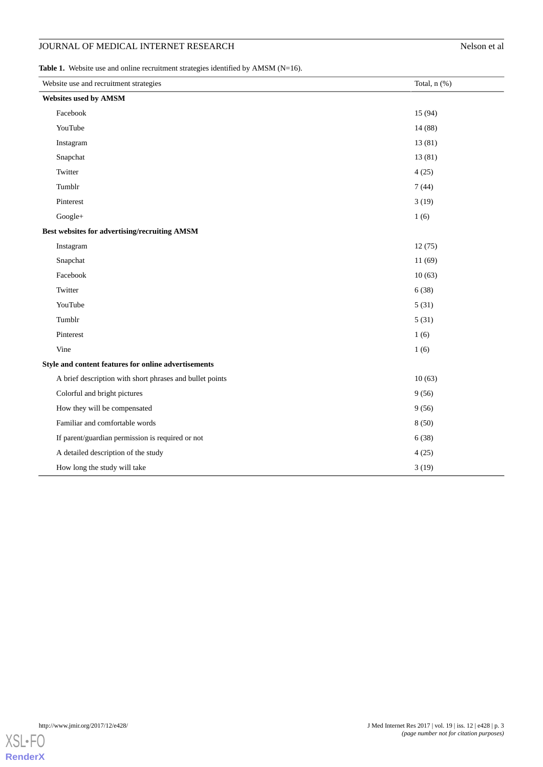## JOURNAL OF MEDICAL INTERNET RESEARCH

| Nelson et al |  |  |
|--------------|--|--|
|              |  |  |

<span id="page-2-0"></span>Table 1. Website use and online recruitment strategies identified by AMSM (N=16).

| Website use and recruitment strategies                   | Total, n (%) |  |
|----------------------------------------------------------|--------------|--|
| Websites used by AMSM                                    |              |  |
| Facebook                                                 | 15 (94)      |  |
| YouTube                                                  | 14 (88)      |  |
| Instagram                                                | 13 (81)      |  |
| Snapchat                                                 | 13(81)       |  |
| Twitter                                                  | 4(25)        |  |
| Tumblr                                                   | 7(44)        |  |
| Pinterest                                                | 3(19)        |  |
| Google+                                                  | 1(6)         |  |
| Best websites for advertising/recruiting AMSM            |              |  |
| Instagram                                                | 12(75)       |  |
| Snapchat                                                 | 11(69)       |  |
| Facebook                                                 | 10(63)       |  |
| Twitter                                                  | 6(38)        |  |
| YouTube                                                  | 5(31)        |  |
| Tumblr                                                   | 5(31)        |  |
| Pinterest                                                | 1(6)         |  |
| Vine                                                     | 1(6)         |  |
| Style and content features for online advertisements     |              |  |
| A brief description with short phrases and bullet points | 10(63)       |  |
| Colorful and bright pictures                             | 9(56)        |  |
| How they will be compensated                             | 9(56)        |  |
| Familiar and comfortable words                           | 8(50)        |  |
| If parent/guardian permission is required or not         | 6(38)        |  |
| A detailed description of the study                      | 4(25)        |  |
| How long the study will take                             | 3(19)        |  |

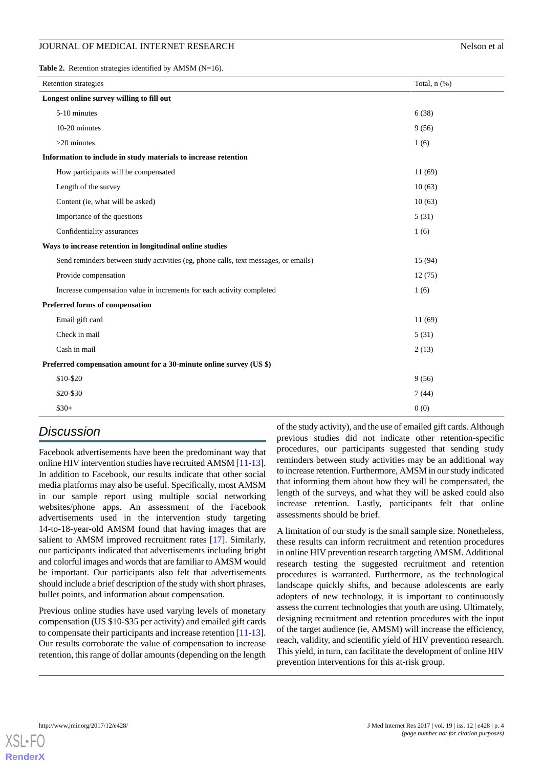#### JOURNAL OF MEDICAL INTERNET RESEARCH NELSON CONTROL INTERNET RESEARCH

<span id="page-3-0"></span>**Table 2.** Retention strategies identified by AMSM (N=16).

| <b>Retention strategies</b>                                                         | Total, $n$ $(\%)$ |  |
|-------------------------------------------------------------------------------------|-------------------|--|
| Longest online survey willing to fill out                                           |                   |  |
| 5-10 minutes                                                                        | 6(38)             |  |
| 10-20 minutes                                                                       | 9(56)             |  |
| $>20$ minutes                                                                       | 1(6)              |  |
| Information to include in study materials to increase retention                     |                   |  |
| How participants will be compensated                                                | 11(69)            |  |
| Length of the survey                                                                | 10(63)            |  |
| Content (ie, what will be asked)                                                    | 10(63)            |  |
| Importance of the questions                                                         | 5(31)             |  |
| Confidentiality assurances                                                          | 1(6)              |  |
| Ways to increase retention in longitudinal online studies                           |                   |  |
| Send reminders between study activities (eg, phone calls, text messages, or emails) | 15(94)            |  |
| Provide compensation                                                                | 12(75)            |  |
| Increase compensation value in increments for each activity completed               | 1(6)              |  |
| Preferred forms of compensation                                                     |                   |  |
| Email gift card                                                                     | 11(69)            |  |
| Check in mail                                                                       | 5(31)             |  |
| Cash in mail                                                                        | 2(13)             |  |
| Preferred compensation amount for a 30-minute online survey (US \$)                 |                   |  |
| \$10-\$20                                                                           | 9(56)             |  |
| \$20-\$30                                                                           | 7(44)             |  |
| $$30+$                                                                              | 0(0)              |  |

## *Discussion*

Facebook advertisements have been the predominant way that online HIV intervention studies have recruited AMSM [\[11](#page-4-10)-[13\]](#page-4-12). In addition to Facebook, our results indicate that other social media platforms may also be useful. Specifically, most AMSM in our sample report using multiple social networking websites/phone apps. An assessment of the Facebook advertisements used in the intervention study targeting 14-to-18-year-old AMSM found that having images that are salient to AMSM improved recruitment rates [\[17](#page-4-16)]. Similarly, our participants indicated that advertisements including bright and colorful images and words that are familiar to AMSM would be important. Our participants also felt that advertisements should include a brief description of the study with short phrases, bullet points, and information about compensation.

Previous online studies have used varying levels of monetary compensation (US \$10-\$35 per activity) and emailed gift cards to compensate their participants and increase retention [\[11](#page-4-10)-[13\]](#page-4-12). Our results corroborate the value of compensation to increase retention, this range of dollar amounts (depending on the length

of the study activity), and the use of emailed gift cards. Although previous studies did not indicate other retention-specific procedures, our participants suggested that sending study reminders between study activities may be an additional way to increase retention. Furthermore, AMSM in our study indicated that informing them about how they will be compensated, the length of the surveys, and what they will be asked could also increase retention. Lastly, participants felt that online assessments should be brief.

A limitation of our study is the small sample size. Nonetheless, these results can inform recruitment and retention procedures in online HIV prevention research targeting AMSM. Additional research testing the suggested recruitment and retention procedures is warranted. Furthermore, as the technological landscape quickly shifts, and because adolescents are early adopters of new technology, it is important to continuously assess the current technologies that youth are using. Ultimately, designing recruitment and retention procedures with the input of the target audience (ie, AMSM) will increase the efficiency, reach, validity, and scientific yield of HIV prevention research. This yield, in turn, can facilitate the development of online HIV prevention interventions for this at-risk group.

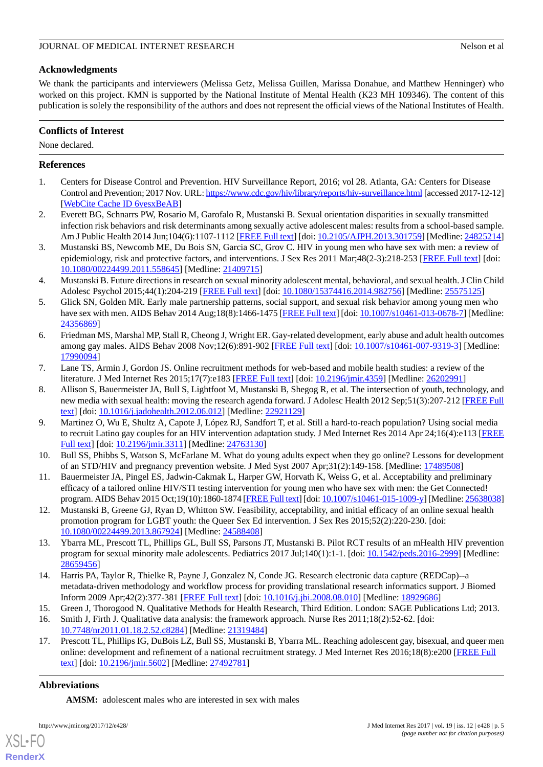## **Acknowledgments**

We thank the participants and interviewers (Melissa Getz, Melissa Guillen, Marissa Donahue, and Matthew Henninger) who worked on this project. KMN is supported by the National Institute of Mental Health (K23 MH 109346). The content of this publication is solely the responsibility of the authors and does not represent the official views of the National Institutes of Health.

### **Conflicts of Interest**

None declared.

### <span id="page-4-0"></span>**References**

- <span id="page-4-1"></span>1. Centers for Disease Control and Prevention. HIV Surveillance Report, 2016; vol 28. Atlanta, GA: Centers for Disease Control and Prevention; 2017 Nov. URL:<https://www.cdc.gov/hiv/library/reports/hiv-surveillance.html> [accessed 2017-12-12] [[WebCite Cache ID 6vesxBeAB\]](http://www.webcitation.org/

                                6vesxBeAB)
- <span id="page-4-2"></span>2. Everett BG, Schnarrs PW, Rosario M, Garofalo R, Mustanski B. Sexual orientation disparities in sexually transmitted infection risk behaviors and risk determinants among sexually active adolescent males: results from a school-based sample. Am J Public Health 2014 Jun;104(6):1107-1112 [[FREE Full text](http://europepmc.org/abstract/MED/24825214)] [doi: [10.2105/AJPH.2013.301759\]](http://dx.doi.org/10.2105/AJPH.2013.301759) [Medline: [24825214](http://www.ncbi.nlm.nih.gov/entrez/query.fcgi?cmd=Retrieve&db=PubMed&list_uids=24825214&dopt=Abstract)]
- <span id="page-4-3"></span>3. Mustanski BS, Newcomb ME, Du Bois SN, Garcia SC, Grov C. HIV in young men who have sex with men: a review of epidemiology, risk and protective factors, and interventions. J Sex Res 2011 Mar;48(2-3):218-253 [[FREE Full text](http://europepmc.org/abstract/MED/21409715)] [doi: [10.1080/00224499.2011.558645\]](http://dx.doi.org/10.1080/00224499.2011.558645) [Medline: [21409715\]](http://www.ncbi.nlm.nih.gov/entrez/query.fcgi?cmd=Retrieve&db=PubMed&list_uids=21409715&dopt=Abstract)
- <span id="page-4-4"></span>4. Mustanski B. Future directions in research on sexual minority adolescent mental, behavioral, and sexual health. J Clin Child Adolesc Psychol 2015;44(1):204-219 [\[FREE Full text\]](http://europepmc.org/abstract/MED/25575125) [doi: [10.1080/15374416.2014.982756](http://dx.doi.org/10.1080/15374416.2014.982756)] [Medline: [25575125](http://www.ncbi.nlm.nih.gov/entrez/query.fcgi?cmd=Retrieve&db=PubMed&list_uids=25575125&dopt=Abstract)]
- <span id="page-4-5"></span>5. Glick SN, Golden MR. Early male partnership patterns, social support, and sexual risk behavior among young men who have sex with men. AIDS Behav 2014 Aug;18(8):1466-1475 [[FREE Full text\]](http://europepmc.org/abstract/MED/24356869) [doi: [10.1007/s10461-013-0678-7](http://dx.doi.org/10.1007/s10461-013-0678-7)] [Medline: [24356869](http://www.ncbi.nlm.nih.gov/entrez/query.fcgi?cmd=Retrieve&db=PubMed&list_uids=24356869&dopt=Abstract)]
- <span id="page-4-6"></span>6. Friedman MS, Marshal MP, Stall R, Cheong J, Wright ER. Gay-related development, early abuse and adult health outcomes among gay males. AIDS Behav 2008 Nov;12(6):891-902 [\[FREE Full text\]](http://europepmc.org/abstract/MED/17990094) [doi: [10.1007/s10461-007-9319-3\]](http://dx.doi.org/10.1007/s10461-007-9319-3) [Medline: [17990094](http://www.ncbi.nlm.nih.gov/entrez/query.fcgi?cmd=Retrieve&db=PubMed&list_uids=17990094&dopt=Abstract)]
- <span id="page-4-7"></span>7. Lane TS, Armin J, Gordon JS. Online recruitment methods for web-based and mobile health studies: a review of the literature. J Med Internet Res 2015;17(7):e183 [\[FREE Full text\]](http://www.jmir.org/2015/7/e183/) [doi: [10.2196/jmir.4359\]](http://dx.doi.org/10.2196/jmir.4359) [Medline: [26202991\]](http://www.ncbi.nlm.nih.gov/entrez/query.fcgi?cmd=Retrieve&db=PubMed&list_uids=26202991&dopt=Abstract)
- <span id="page-4-8"></span>8. Allison S, Bauermeister JA, Bull S, Lightfoot M, Mustanski B, Shegog R, et al. The intersection of youth, technology, and new media with sexual health: moving the research agenda forward. J Adolesc Health 2012 Sep;51(3):207-212 [\[FREE Full](http://europepmc.org/abstract/MED/22921129) [text](http://europepmc.org/abstract/MED/22921129)] [doi: [10.1016/j.jadohealth.2012.06.012](http://dx.doi.org/10.1016/j.jadohealth.2012.06.012)] [Medline: [22921129](http://www.ncbi.nlm.nih.gov/entrez/query.fcgi?cmd=Retrieve&db=PubMed&list_uids=22921129&dopt=Abstract)]
- <span id="page-4-10"></span><span id="page-4-9"></span>9. Martinez O, Wu E, Shultz A, Capote J, López RJ, Sandfort T, et al. Still a hard-to-reach population? Using social media to recruit Latino gay couples for an HIV intervention adaptation study. J Med Internet Res 2014 Apr 24;16(4):e113 [\[FREE](http://www.jmir.org/2014/4/e113/) [Full text\]](http://www.jmir.org/2014/4/e113/) [doi: [10.2196/jmir.3311](http://dx.doi.org/10.2196/jmir.3311)] [Medline: [24763130\]](http://www.ncbi.nlm.nih.gov/entrez/query.fcgi?cmd=Retrieve&db=PubMed&list_uids=24763130&dopt=Abstract)
- <span id="page-4-11"></span>10. Bull SS, Phibbs S, Watson S, McFarlane M. What do young adults expect when they go online? Lessons for development of an STD/HIV and pregnancy prevention website. J Med Syst 2007 Apr;31(2):149-158. [Medline: [17489508\]](http://www.ncbi.nlm.nih.gov/entrez/query.fcgi?cmd=Retrieve&db=PubMed&list_uids=17489508&dopt=Abstract)
- <span id="page-4-12"></span>11. Bauermeister JA, Pingel ES, Jadwin-Cakmak L, Harper GW, Horvath K, Weiss G, et al. Acceptability and preliminary efficacy of a tailored online HIV/STI testing intervention for young men who have sex with men: the Get Connected! program. AIDS Behav 2015 Oct;19(10):1860-1874 [\[FREE Full text\]](http://europepmc.org/abstract/MED/25638038) [doi: [10.1007/s10461-015-1009-y\]](http://dx.doi.org/10.1007/s10461-015-1009-y) [Medline: [25638038\]](http://www.ncbi.nlm.nih.gov/entrez/query.fcgi?cmd=Retrieve&db=PubMed&list_uids=25638038&dopt=Abstract)
- <span id="page-4-13"></span>12. Mustanski B, Greene GJ, Ryan D, Whitton SW. Feasibility, acceptability, and initial efficacy of an online sexual health promotion program for LGBT youth: the Queer Sex Ed intervention. J Sex Res 2015;52(2):220-230. [doi: [10.1080/00224499.2013.867924\]](http://dx.doi.org/10.1080/00224499.2013.867924) [Medline: [24588408\]](http://www.ncbi.nlm.nih.gov/entrez/query.fcgi?cmd=Retrieve&db=PubMed&list_uids=24588408&dopt=Abstract)
- <span id="page-4-15"></span><span id="page-4-14"></span>13. Ybarra ML, Prescott TL, Phillips GL, Bull SS, Parsons JT, Mustanski B. Pilot RCT results of an mHealth HIV prevention program for sexual minority male adolescents. Pediatrics 2017 Jul;140(1):1-1. [doi: [10.1542/peds.2016-2999](http://dx.doi.org/10.1542/peds.2016-2999)] [Medline: [28659456](http://www.ncbi.nlm.nih.gov/entrez/query.fcgi?cmd=Retrieve&db=PubMed&list_uids=28659456&dopt=Abstract)]
- <span id="page-4-16"></span>14. Harris PA, Taylor R, Thielke R, Payne J, Gonzalez N, Conde JG. Research electronic data capture (REDCap)--a metadata-driven methodology and workflow process for providing translational research informatics support. J Biomed Inform 2009 Apr;42(2):377-381 [\[FREE Full text\]](http://linkinghub.elsevier.com/retrieve/pii/S1532-0464(08)00122-6) [doi: [10.1016/j.jbi.2008.08.010](http://dx.doi.org/10.1016/j.jbi.2008.08.010)] [Medline: [18929686](http://www.ncbi.nlm.nih.gov/entrez/query.fcgi?cmd=Retrieve&db=PubMed&list_uids=18929686&dopt=Abstract)]
- 15. Green J, Thorogood N. Qualitative Methods for Health Research, Third Edition. London: SAGE Publications Ltd; 2013.
- 16. Smith J, Firth J. Qualitative data analysis: the framework approach. Nurse Res 2011;18(2):52-62. [doi: [10.7748/nr2011.01.18.2.52.c8284](http://dx.doi.org/10.7748/nr2011.01.18.2.52.c8284)] [Medline: [21319484\]](http://www.ncbi.nlm.nih.gov/entrez/query.fcgi?cmd=Retrieve&db=PubMed&list_uids=21319484&dopt=Abstract)
- 17. Prescott TL, Phillips IG, DuBois LZ, Bull SS, Mustanski B, Ybarra ML. Reaching adolescent gay, bisexual, and queer men online: development and refinement of a national recruitment strategy. J Med Internet Res 2016;18(8):e200 [[FREE Full](http://www.jmir.org/2016/8/e200/) [text](http://www.jmir.org/2016/8/e200/)] [doi: [10.2196/jmir.5602](http://dx.doi.org/10.2196/jmir.5602)] [Medline: [27492781](http://www.ncbi.nlm.nih.gov/entrez/query.fcgi?cmd=Retrieve&db=PubMed&list_uids=27492781&dopt=Abstract)]

## **Abbreviations**

[XSL](http://www.w3.org/Style/XSL)•FO **[RenderX](http://www.renderx.com/)**

**AMSM:** adolescent males who are interested in sex with males